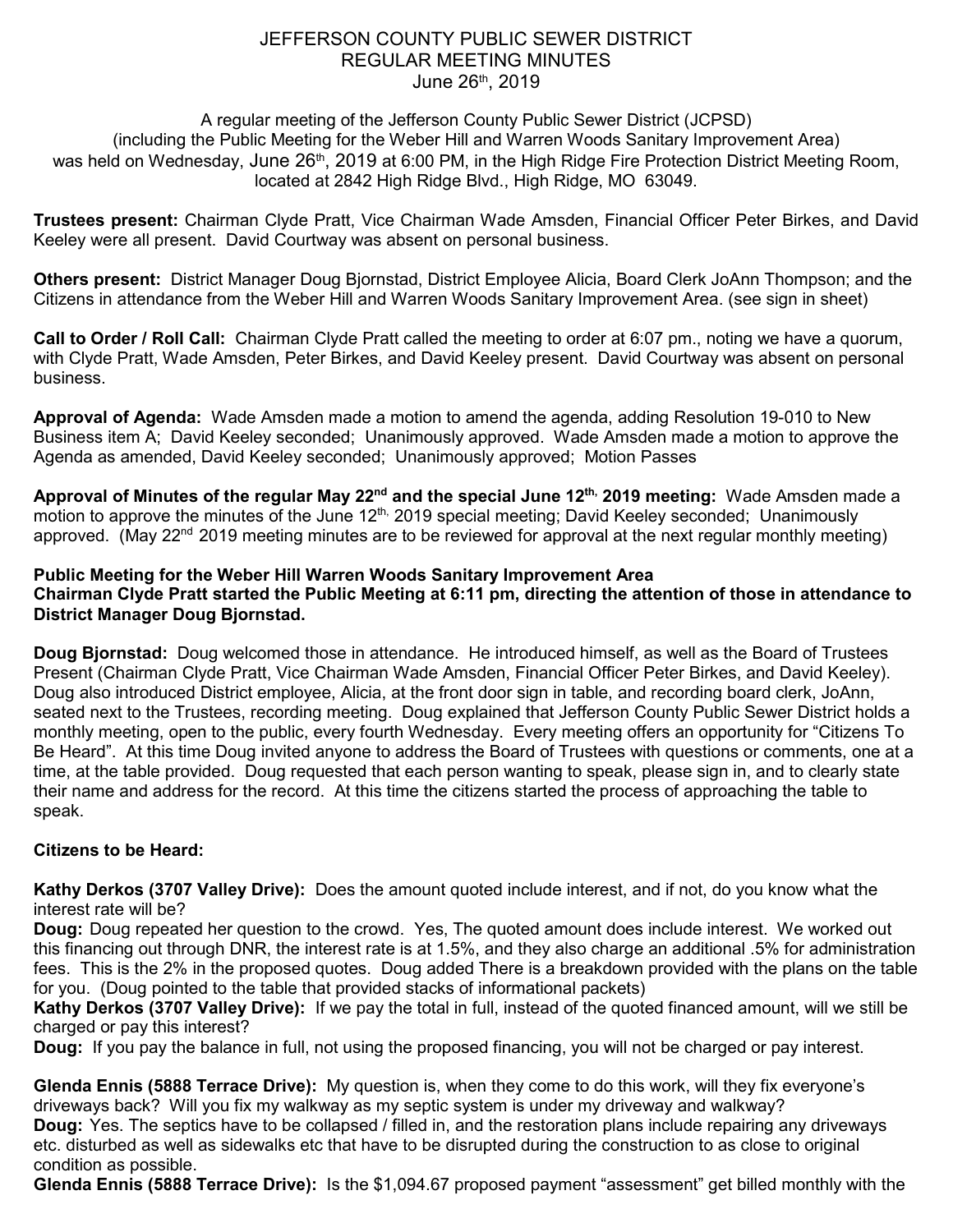# JEFFERSON COUNTY PUBLIC SEWER DISTRICT REGULAR MEETING MINUTES June 26<sup>th</sup>, 2019

### A regular meeting of the Jefferson County Public Sewer District (JCPSD) (including the Public Meeting for the Weber Hill and Warren Woods Sanitary Improvement Area) was held on Wednesday, June 26<sup>th</sup>, 2019 at 6:00 PM, in the High Ridge Fire Protection District Meeting Room, located at 2842 High Ridge Blvd., High Ridge, MO 63049.

**Trustees present:** Chairman Clyde Pratt, Vice Chairman Wade Amsden, Financial Officer Peter Birkes, and David Keeley were all present. David Courtway was absent on personal business.

**Others present:** District Manager Doug Bjornstad, District Employee Alicia, Board Clerk JoAnn Thompson; and the Citizens in attendance from the Weber Hill and Warren Woods Sanitary Improvement Area. (see sign in sheet)

**Call to Order / Roll Call:** Chairman Clyde Pratt called the meeting to order at 6:07 pm., noting we have a quorum, with Clyde Pratt, Wade Amsden, Peter Birkes, and David Keeley present. David Courtway was absent on personal business.

**Approval of Agenda:** Wade Amsden made a motion to amend the agenda, adding Resolution 19-010 to New Business item A; David Keeley seconded; Unanimously approved. Wade Amsden made a motion to approve the Agenda as amended, David Keeley seconded; Unanimously approved; Motion Passes

**Approval of Minutes of the regular May 22nd and the special June 12th, 2019 meeting:** Wade Amsden made a motion to approve the minutes of the June 12<sup>th,</sup> 2019 special meeting; David Keeley seconded; Unanimously approved. (May 22<sup>nd</sup> 2019 meeting minutes are to be reviewed for approval at the next regular monthly meeting)

## **Public Meeting for the Weber Hill Warren Woods Sanitary Improvement Area Chairman Clyde Pratt started the Public Meeting at 6:11 pm, directing the attention of those in attendance to District Manager Doug Bjornstad.**

**Doug Bjornstad:** Doug welcomed those in attendance. He introduced himself, as well as the Board of Trustees Present (Chairman Clyde Pratt, Vice Chairman Wade Amsden, Financial Officer Peter Birkes, and David Keeley). Doug also introduced District employee, Alicia, at the front door sign in table, and recording board clerk, JoAnn, seated next to the Trustees, recording meeting. Doug explained that Jefferson County Public Sewer District holds a monthly meeting, open to the public, every fourth Wednesday. Every meeting offers an opportunity for "Citizens To Be Heard". At this time Doug invited anyone to address the Board of Trustees with questions or comments, one at a time, at the table provided. Doug requested that each person wanting to speak, please sign in, and to clearly state their name and address for the record. At this time the citizens started the process of approaching the table to speak.

# **Citizens to be Heard:**

**Kathy Derkos (3707 Valley Drive):** Does the amount quoted include interest, and if not, do you know what the interest rate will be?

**Doug:** Doug repeated her question to the crowd. Yes, The quoted amount does include interest. We worked out this financing out through DNR, the interest rate is at 1.5%, and they also charge an additional .5% for administration fees. This is the 2% in the proposed quotes. Doug added There is a breakdown provided with the plans on the table for you. (Doug pointed to the table that provided stacks of informational packets)

**Kathy Derkos (3707 Valley Drive):** If we pay the total in full, instead of the quoted financed amount, will we still be charged or pay this interest?

**Doug:** If you pay the balance in full, not using the proposed financing, you will not be charged or pay interest.

**Glenda Ennis (5888 Terrace Drive):** My question is, when they come to do this work, will they fix everyone's driveways back? Will you fix my walkway as my septic system is under my driveway and walkway? **Doug:** Yes. The septics have to be collapsed / filled in, and the restoration plans include repairing any driveways etc. disturbed as well as sidewalks etc that have to be disrupted during the construction to as close to original condition as possible.

**Glenda Ennis (5888 Terrace Drive):** Is the \$1,094.67 proposed payment "assessment" get billed monthly with the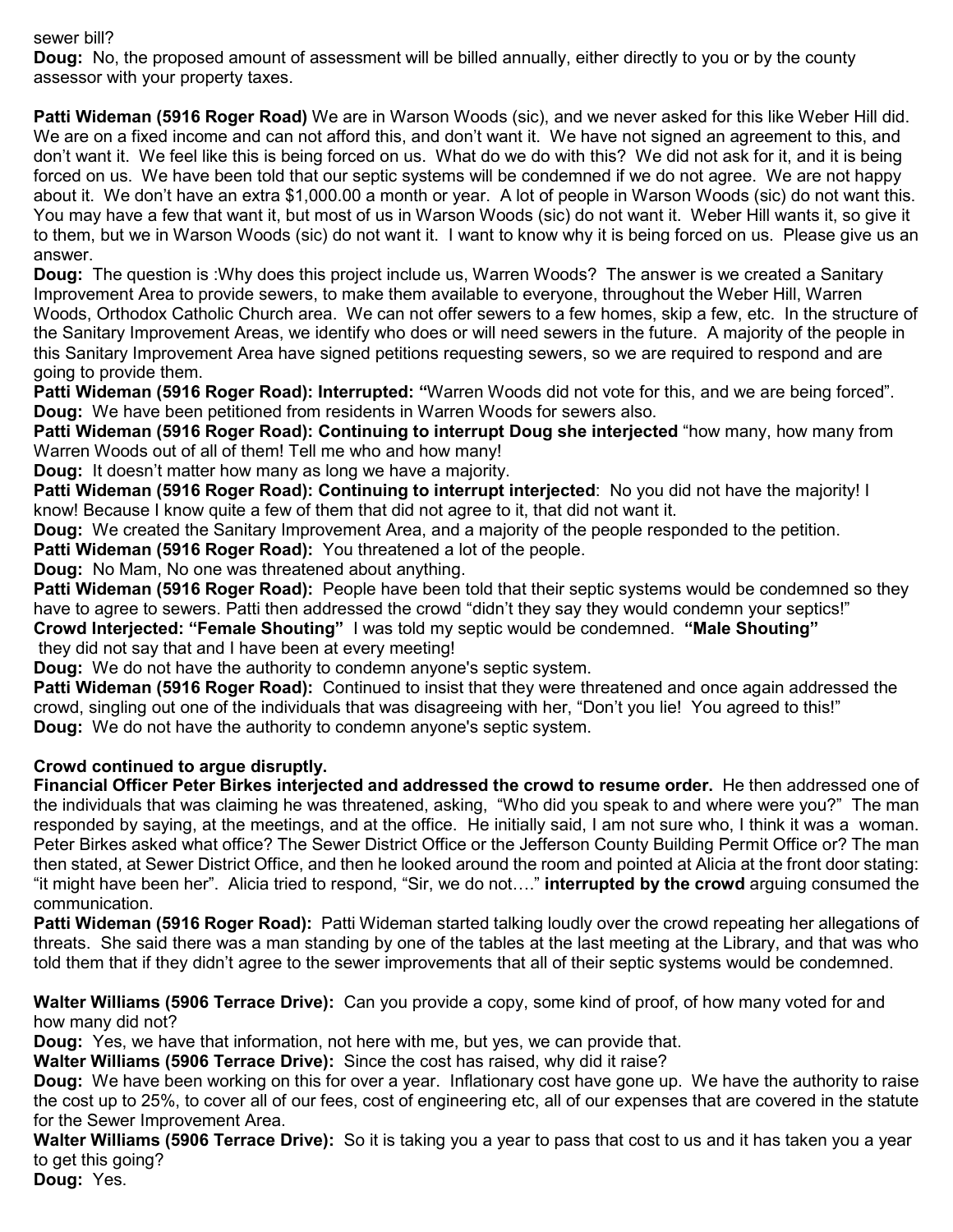#### sewer bill?

**Doug:** No, the proposed amount of assessment will be billed annually, either directly to you or by the county assessor with your property taxes.

**Patti Wideman (5916 Roger Road)** We are in Warson Woods (sic), and we never asked for this like Weber Hill did. We are on a fixed income and can not afford this, and don't want it. We have not signed an agreement to this, and don't want it. We feel like this is being forced on us. What do we do with this? We did not ask for it, and it is being forced on us. We have been told that our septic systems will be condemned if we do not agree. We are not happy about it. We don't have an extra \$1,000.00 a month or year. A lot of people in Warson Woods (sic) do not want this. You may have a few that want it, but most of us in Warson Woods (sic) do not want it. Weber Hill wants it, so give it to them, but we in Warson Woods (sic) do not want it. I want to know why it is being forced on us. Please give us an answer.

**Doug:** The question is :Why does this project include us, Warren Woods? The answer is we created a Sanitary Improvement Area to provide sewers, to make them available to everyone, throughout the Weber Hill, Warren Woods, Orthodox Catholic Church area. We can not offer sewers to a few homes, skip a few, etc. In the structure of the Sanitary Improvement Areas, we identify who does or will need sewers in the future. A majority of the people in this Sanitary Improvement Area have signed petitions requesting sewers, so we are required to respond and are going to provide them.

**Patti Wideman (5916 Roger Road): Interrupted: "**Warren Woods did not vote for this, and we are being forced". **Doug:** We have been petitioned from residents in Warren Woods for sewers also.

**Patti Wideman (5916 Roger Road): Continuing to interrupt Doug she interjected** "how many, how many from Warren Woods out of all of them! Tell me who and how many!

**Doug:** It doesn't matter how many as long we have a majority.

**Patti Wideman (5916 Roger Road): Continuing to interrupt interjected**: No you did not have the majority! I know! Because I know quite a few of them that did not agree to it, that did not want it.

**Doug:** We created the Sanitary Improvement Area, and a majority of the people responded to the petition.

**Patti Wideman (5916 Roger Road):** You threatened a lot of the people.

**Doug:** No Mam, No one was threatened about anything.

**Patti Wideman (5916 Roger Road):** People have been told that their septic systems would be condemned so they have to agree to sewers. Patti then addressed the crowd "didn't they say they would condemn your septics!"

**Crowd Interjected: "Female Shouting"** I was told my septic would be condemned. **"Male Shouting"** they did not say that and I have been at every meeting!

**Doug:** We do not have the authority to condemn anyone's septic system.

**Patti Wideman (5916 Roger Road):** Continued to insist that they were threatened and once again addressed the crowd, singling out one of the individuals that was disagreeing with her, "Don't you lie! You agreed to this!" **Doug:** We do not have the authority to condemn anyone's septic system.

#### **Crowd continued to argue disruptly.**

**Financial Officer Peter Birkes interjected and addressed the crowd to resume order.** He then addressed one of the individuals that was claiming he was threatened, asking, "Who did you speak to and where were you?" The man responded by saying, at the meetings, and at the office. He initially said, I am not sure who, I think it was a woman. Peter Birkes asked what office? The Sewer District Office or the Jefferson County Building Permit Office or? The man then stated, at Sewer District Office, and then he looked around the room and pointed at Alicia at the front door stating: "it might have been her". Alicia tried to respond, "Sir, we do not…." **interrupted by the crowd** arguing consumed the communication.

**Patti Wideman (5916 Roger Road):** Patti Wideman started talking loudly over the crowd repeating her allegations of threats. She said there was a man standing by one of the tables at the last meeting at the Library, and that was who told them that if they didn't agree to the sewer improvements that all of their septic systems would be condemned.

**Walter Williams (5906 Terrace Drive):** Can you provide a copy, some kind of proof, of how many voted for and how many did not?

**Doug:** Yes, we have that information, not here with me, but yes, we can provide that.

**Walter Williams (5906 Terrace Drive):** Since the cost has raised, why did it raise?

**Doug:** We have been working on this for over a year. Inflationary cost have gone up. We have the authority to raise the cost up to 25%, to cover all of our fees, cost of engineering etc, all of our expenses that are covered in the statute for the Sewer Improvement Area.

**Walter Williams (5906 Terrace Drive):** So it is taking you a year to pass that cost to us and it has taken you a year to get this going?

**Doug:** Yes.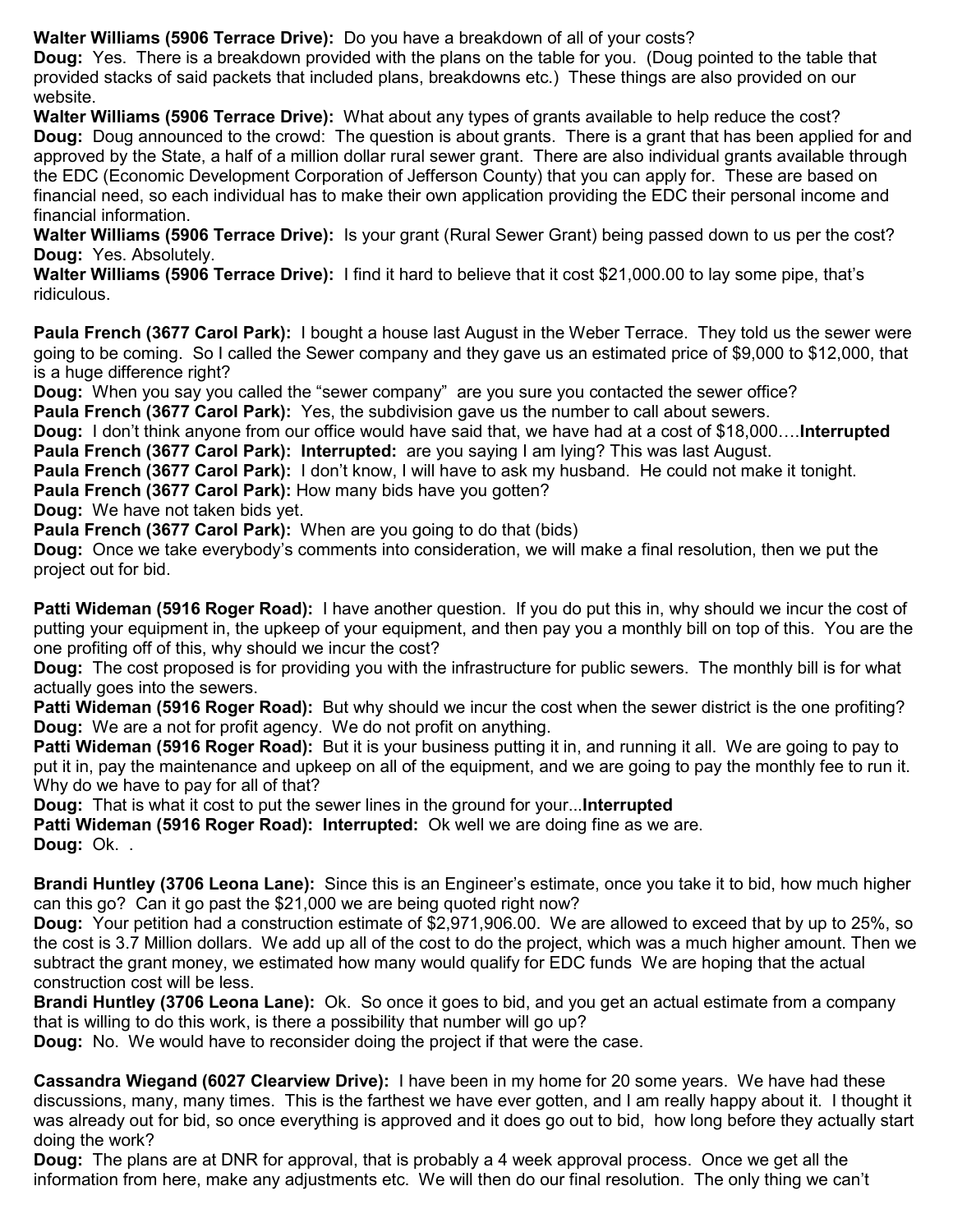**Walter Williams (5906 Terrace Drive):** Do you have a breakdown of all of your costs?

**Doug:** Yes. There is a breakdown provided with the plans on the table for you. (Doug pointed to the table that provided stacks of said packets that included plans, breakdowns etc.) These things are also provided on our website.

**Walter Williams (5906 Terrace Drive):** What about any types of grants available to help reduce the cost? **Doug:** Doug announced to the crowd: The question is about grants. There is a grant that has been applied for and approved by the State, a half of a million dollar rural sewer grant. There are also individual grants available through the EDC (Economic Development Corporation of Jefferson County) that you can apply for. These are based on financial need, so each individual has to make their own application providing the EDC their personal income and financial information.

**Walter Williams (5906 Terrace Drive):** Is your grant (Rural Sewer Grant) being passed down to us per the cost? **Doug:** Yes. Absolutely.

**Walter Williams (5906 Terrace Drive):** I find it hard to believe that it cost \$21,000.00 to lay some pipe, that's ridiculous.

**Paula French (3677 Carol Park):** I bought a house last August in the Weber Terrace. They told us the sewer were going to be coming. So I called the Sewer company and they gave us an estimated price of \$9,000 to \$12,000, that is a huge difference right?

**Doug:** When you say you called the "sewer company" are you sure you contacted the sewer office? **Paula French (3677 Carol Park):** Yes, the subdivision gave us the number to call about sewers.

**Doug:** I don't think anyone from our office would have said that, we have had at a cost of \$18,000….**Interrupted Paula French (3677 Carol Park): Interrupted:** are you saying I am lying? This was last August.

**Paula French (3677 Carol Park):** I don't know, I will have to ask my husband. He could not make it tonight.

**Paula French (3677 Carol Park):** How many bids have you gotten?

**Doug:** We have not taken bids yet.

**Paula French (3677 Carol Park):** When are you going to do that (bids)

**Doug:** Once we take everybody's comments into consideration, we will make a final resolution, then we put the project out for bid.

**Patti Wideman (5916 Roger Road):** I have another question. If you do put this in, why should we incur the cost of putting your equipment in, the upkeep of your equipment, and then pay you a monthly bill on top of this. You are the one profiting off of this, why should we incur the cost?

**Doug:** The cost proposed is for providing you with the infrastructure for public sewers. The monthly bill is for what actually goes into the sewers.

**Patti Wideman (5916 Roger Road):** But why should we incur the cost when the sewer district is the one profiting? **Doug:** We are a not for profit agency. We do not profit on anything.

**Patti Wideman (5916 Roger Road):** But it is your business putting it in, and running it all. We are going to pay to put it in, pay the maintenance and upkeep on all of the equipment, and we are going to pay the monthly fee to run it. Why do we have to pay for all of that?

**Doug:** That is what it cost to put the sewer lines in the ground for your...**Interrupted** 

**Patti Wideman (5916 Roger Road): Interrupted:** Ok well we are doing fine as we are.

**Doug:** Ok. .

**Brandi Huntley (3706 Leona Lane):** Since this is an Engineer's estimate, once you take it to bid, how much higher can this go? Can it go past the \$21,000 we are being quoted right now?

**Doug:** Your petition had a construction estimate of \$2,971,906.00. We are allowed to exceed that by up to 25%, so the cost is 3.7 Million dollars. We add up all of the cost to do the project, which was a much higher amount. Then we subtract the grant money, we estimated how many would qualify for EDC funds We are hoping that the actual construction cost will be less.

**Brandi Huntley (3706 Leona Lane):** Ok. So once it goes to bid, and you get an actual estimate from a company that is willing to do this work, is there a possibility that number will go up?

**Doug:** No. We would have to reconsider doing the project if that were the case.

**Cassandra Wiegand (6027 Clearview Drive):** I have been in my home for 20 some years. We have had these discussions, many, many times. This is the farthest we have ever gotten, and I am really happy about it. I thought it was already out for bid, so once everything is approved and it does go out to bid, how long before they actually start doing the work?

**Doug:** The plans are at DNR for approval, that is probably a 4 week approval process. Once we get all the information from here, make any adjustments etc. We will then do our final resolution. The only thing we can't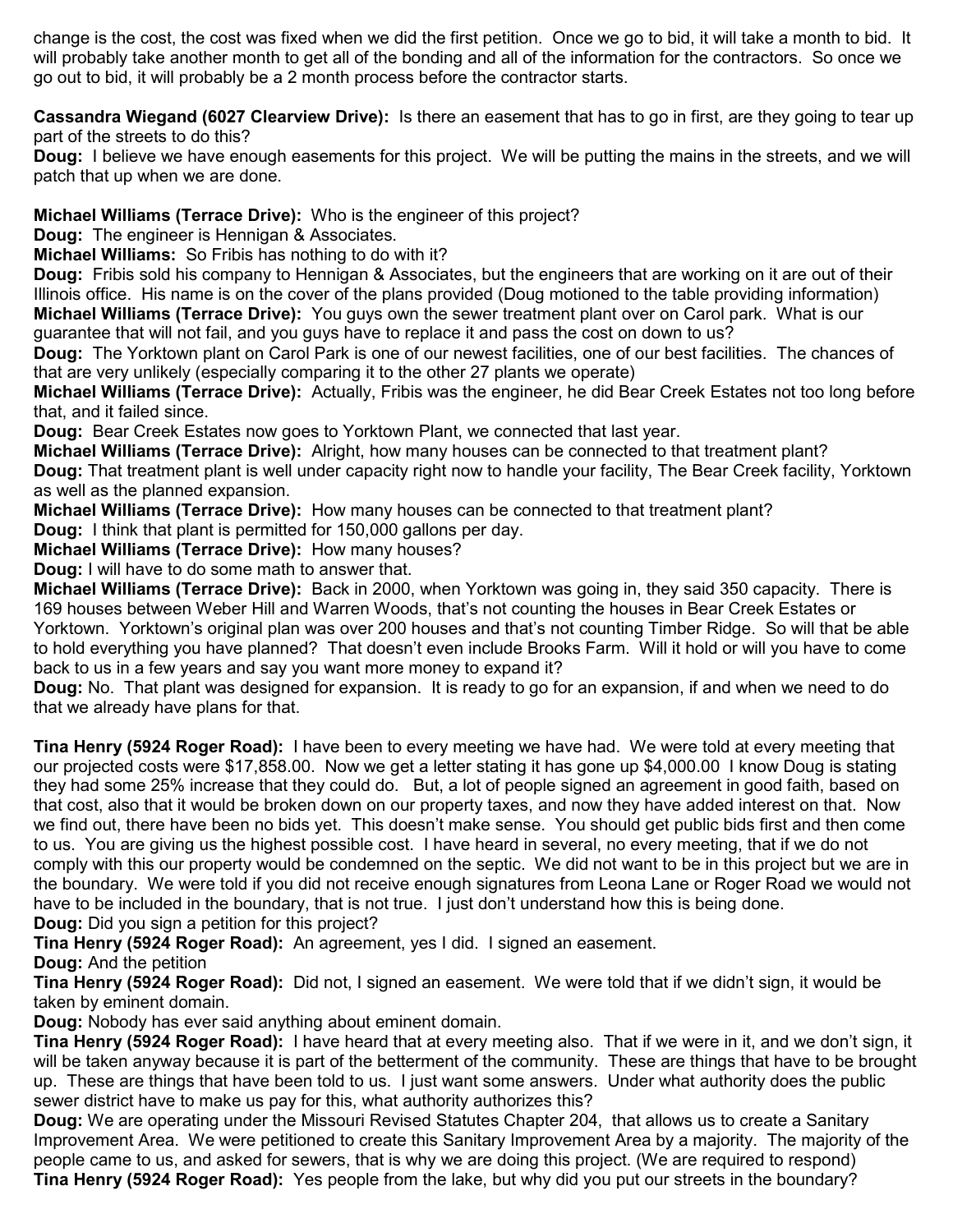change is the cost, the cost was fixed when we did the first petition. Once we go to bid, it will take a month to bid. It will probably take another month to get all of the bonding and all of the information for the contractors. So once we go out to bid, it will probably be a 2 month process before the contractor starts.

**Cassandra Wiegand (6027 Clearview Drive):** Is there an easement that has to go in first, are they going to tear up part of the streets to do this?

**Doug:** I believe we have enough easements for this project. We will be putting the mains in the streets, and we will patch that up when we are done.

# **Michael Williams (Terrace Drive):** Who is the engineer of this project?

**Doug:** The engineer is Hennigan & Associates.

**Michael Williams:** So Fribis has nothing to do with it?

**Doug:** Fribis sold his company to Hennigan & Associates, but the engineers that are working on it are out of their Illinois office. His name is on the cover of the plans provided (Doug motioned to the table providing information) **Michael Williams (Terrace Drive):** You guys own the sewer treatment plant over on Carol park. What is our guarantee that will not fail, and you guys have to replace it and pass the cost on down to us?

**Doug:** The Yorktown plant on Carol Park is one of our newest facilities, one of our best facilities. The chances of that are very unlikely (especially comparing it to the other 27 plants we operate)

**Michael Williams (Terrace Drive):** Actually, Fribis was the engineer, he did Bear Creek Estates not too long before that, and it failed since.

**Doug:** Bear Creek Estates now goes to Yorktown Plant, we connected that last year.

**Michael Williams (Terrace Drive):** Alright, how many houses can be connected to that treatment plant? **Doug:** That treatment plant is well under capacity right now to handle your facility, The Bear Creek facility, Yorktown as well as the planned expansion.

**Michael Williams (Terrace Drive):** How many houses can be connected to that treatment plant?

**Doug:** I think that plant is permitted for 150,000 gallons per day.

**Michael Williams (Terrace Drive):** How many houses?

**Doug:** I will have to do some math to answer that.

**Michael Williams (Terrace Drive):** Back in 2000, when Yorktown was going in, they said 350 capacity. There is 169 houses between Weber Hill and Warren Woods, that's not counting the houses in Bear Creek Estates or Yorktown. Yorktown's original plan was over 200 houses and that's not counting Timber Ridge. So will that be able to hold everything you have planned? That doesn't even include Brooks Farm. Will it hold or will you have to come back to us in a few years and say you want more money to expand it?

**Doug:** No. That plant was designed for expansion. It is ready to go for an expansion, if and when we need to do that we already have plans for that.

**Tina Henry (5924 Roger Road):** I have been to every meeting we have had. We were told at every meeting that our projected costs were \$17,858.00. Now we get a letter stating it has gone up \$4,000.00 I know Doug is stating they had some 25% increase that they could do. But, a lot of people signed an agreement in good faith, based on that cost, also that it would be broken down on our property taxes, and now they have added interest on that. Now we find out, there have been no bids yet. This doesn't make sense. You should get public bids first and then come to us. You are giving us the highest possible cost. I have heard in several, no every meeting, that if we do not comply with this our property would be condemned on the septic. We did not want to be in this project but we are in the boundary. We were told if you did not receive enough signatures from Leona Lane or Roger Road we would not have to be included in the boundary, that is not true. I just don't understand how this is being done. **Doug:** Did you sign a petition for this project?

**Tina Henry (5924 Roger Road):** An agreement, yes I did. I signed an easement.

# **Doug:** And the petition

**Tina Henry (5924 Roger Road):** Did not, I signed an easement. We were told that if we didn't sign, it would be taken by eminent domain.

**Doug:** Nobody has ever said anything about eminent domain.

**Tina Henry (5924 Roger Road):** I have heard that at every meeting also. That if we were in it, and we don't sign, it will be taken anyway because it is part of the betterment of the community. These are things that have to be brought up. These are things that have been told to us. I just want some answers. Under what authority does the public sewer district have to make us pay for this, what authority authorizes this?

**Doug:** We are operating under the Missouri Revised Statutes Chapter 204, that allows us to create a Sanitary Improvement Area. We were petitioned to create this Sanitary Improvement Area by a majority. The majority of the people came to us, and asked for sewers, that is why we are doing this project. (We are required to respond) **Tina Henry (5924 Roger Road):** Yes people from the lake, but why did you put our streets in the boundary?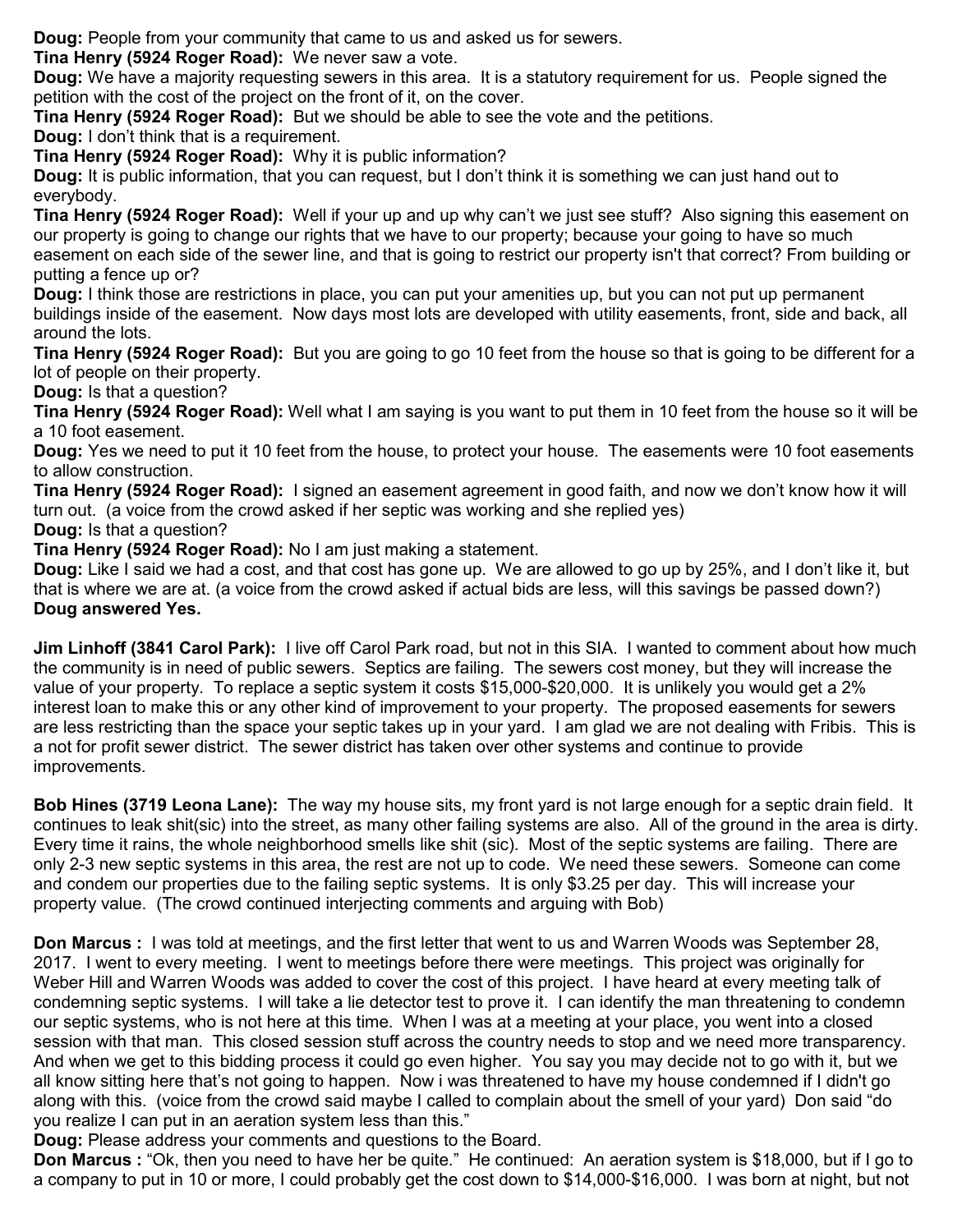**Doug:** People from your community that came to us and asked us for sewers.

**Tina Henry (5924 Roger Road):** We never saw a vote.

**Doug:** We have a majority requesting sewers in this area. It is a statutory requirement for us. People signed the petition with the cost of the project on the front of it, on the cover.

**Tina Henry (5924 Roger Road):** But we should be able to see the vote and the petitions.

**Doug:** I don't think that is a requirement.

**Tina Henry (5924 Roger Road):** Why it is public information?

**Doug:** It is public information, that you can request, but I don't think it is something we can just hand out to everybody.

**Tina Henry (5924 Roger Road):** Well if your up and up why can't we just see stuff? Also signing this easement on our property is going to change our rights that we have to our property; because your going to have so much easement on each side of the sewer line, and that is going to restrict our property isn't that correct? From building or putting a fence up or?

**Doug:** I think those are restrictions in place, you can put your amenities up, but you can not put up permanent buildings inside of the easement. Now days most lots are developed with utility easements, front, side and back, all around the lots.

**Tina Henry (5924 Roger Road):** But you are going to go 10 feet from the house so that is going to be different for a lot of people on their property.

## **Doug:** Is that a question?

**Tina Henry (5924 Roger Road):** Well what I am saying is you want to put them in 10 feet from the house so it will be a 10 foot easement.

**Doug:** Yes we need to put it 10 feet from the house, to protect your house. The easements were 10 foot easements to allow construction.

**Tina Henry (5924 Roger Road):** I signed an easement agreement in good faith, and now we don't know how it will turn out. (a voice from the crowd asked if her septic was working and she replied yes)

**Doug:** Is that a question?

**Tina Henry (5924 Roger Road):** No I am just making a statement.

**Doug:** Like I said we had a cost, and that cost has gone up. We are allowed to go up by 25%, and I don't like it, but that is where we are at. (a voice from the crowd asked if actual bids are less, will this savings be passed down?) **Doug answered Yes.** 

**Jim Linhoff (3841 Carol Park):** I live off Carol Park road, but not in this SIA. I wanted to comment about how much the community is in need of public sewers. Septics are failing. The sewers cost money, but they will increase the value of your property. To replace a septic system it costs \$15,000-\$20,000. It is unlikely you would get a 2% interest loan to make this or any other kind of improvement to your property. The proposed easements for sewers are less restricting than the space your septic takes up in your yard. I am glad we are not dealing with Fribis. This is a not for profit sewer district. The sewer district has taken over other systems and continue to provide improvements.

**Bob Hines (3719 Leona Lane):** The way my house sits, my front yard is not large enough for a septic drain field. It continues to leak shit(sic) into the street, as many other failing systems are also. All of the ground in the area is dirty. Every time it rains, the whole neighborhood smells like shit (sic). Most of the septic systems are failing. There are only 2-3 new septic systems in this area, the rest are not up to code. We need these sewers. Someone can come and condem our properties due to the failing septic systems. It is only \$3.25 per day. This will increase your property value. (The crowd continued interjecting comments and arguing with Bob)

**Don Marcus :** I was told at meetings, and the first letter that went to us and Warren Woods was September 28, 2017. I went to every meeting. I went to meetings before there were meetings. This project was originally for Weber Hill and Warren Woods was added to cover the cost of this project. I have heard at every meeting talk of condemning septic systems. I will take a lie detector test to prove it. I can identify the man threatening to condemn our septic systems, who is not here at this time. When I was at a meeting at your place, you went into a closed session with that man. This closed session stuff across the country needs to stop and we need more transparency. And when we get to this bidding process it could go even higher. You say you may decide not to go with it, but we all know sitting here that's not going to happen. Now i was threatened to have my house condemned if I didn't go along with this. (voice from the crowd said maybe I called to complain about the smell of your yard) Don said "do you realize I can put in an aeration system less than this."

**Doug:** Please address your comments and questions to the Board.

**Don Marcus :** "Ok, then you need to have her be quite." He continued: An aeration system is \$18,000, but if I go to a company to put in 10 or more, I could probably get the cost down to \$14,000-\$16,000. I was born at night, but not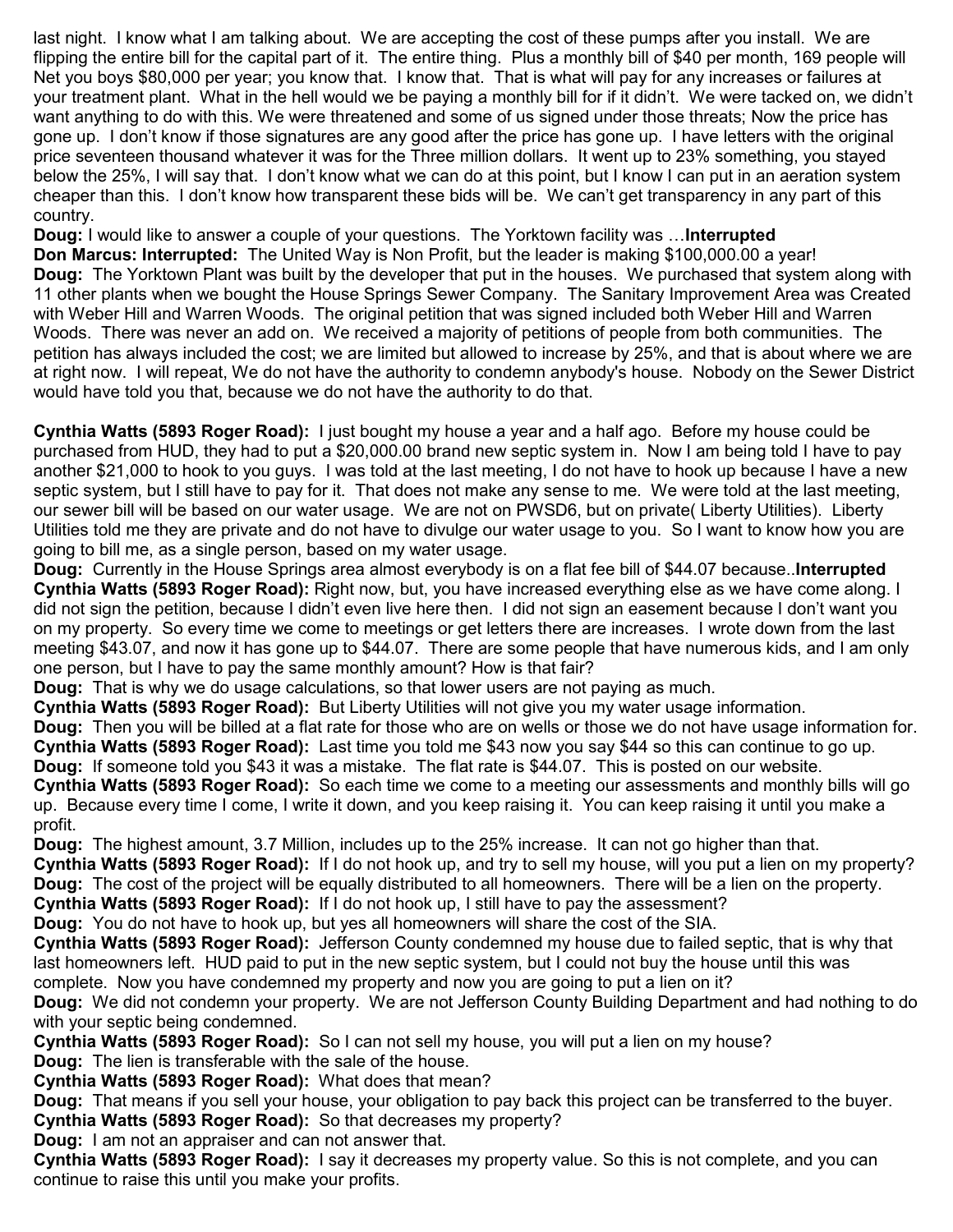last night. I know what I am talking about. We are accepting the cost of these pumps after you install. We are flipping the entire bill for the capital part of it. The entire thing. Plus a monthly bill of \$40 per month, 169 people will Net you boys \$80,000 per year; you know that. I know that. That is what will pay for any increases or failures at your treatment plant. What in the hell would we be paying a monthly bill for if it didn't. We were tacked on, we didn't want anything to do with this. We were threatened and some of us signed under those threats; Now the price has gone up. I don't know if those signatures are any good after the price has gone up. I have letters with the original price seventeen thousand whatever it was for the Three million dollars. It went up to 23% something, you stayed below the 25%, I will say that. I don't know what we can do at this point, but I know I can put in an aeration system cheaper than this. I don't know how transparent these bids will be. We can't get transparency in any part of this country.

**Doug:** I would like to answer a couple of your questions. The Yorktown facility was …**Interrupted** 

**Don Marcus: Interrupted:** The United Way is Non Profit, but the leader is making \$100,000.00 a year! **Doug:** The Yorktown Plant was built by the developer that put in the houses. We purchased that system along with 11 other plants when we bought the House Springs Sewer Company. The Sanitary Improvement Area was Created with Weber Hill and Warren Woods. The original petition that was signed included both Weber Hill and Warren Woods. There was never an add on. We received a majority of petitions of people from both communities. The petition has always included the cost; we are limited but allowed to increase by 25%, and that is about where we are at right now. I will repeat, We do not have the authority to condemn anybody's house. Nobody on the Sewer District would have told you that, because we do not have the authority to do that.

**Cynthia Watts (5893 Roger Road):** I just bought my house a year and a half ago. Before my house could be purchased from HUD, they had to put a \$20,000.00 brand new septic system in. Now I am being told I have to pay another \$21,000 to hook to you guys. I was told at the last meeting, I do not have to hook up because I have a new septic system, but I still have to pay for it. That does not make any sense to me. We were told at the last meeting, our sewer bill will be based on our water usage. We are not on PWSD6, but on private( Liberty Utilities). Liberty Utilities told me they are private and do not have to divulge our water usage to you. So I want to know how you are going to bill me, as a single person, based on my water usage.

**Doug:** Currently in the House Springs area almost everybody is on a flat fee bill of \$44.07 because..**Interrupted Cynthia Watts (5893 Roger Road):** Right now, but, you have increased everything else as we have come along. I did not sign the petition, because I didn't even live here then. I did not sign an easement because I don't want you on my property. So every time we come to meetings or get letters there are increases. I wrote down from the last meeting \$43.07, and now it has gone up to \$44.07. There are some people that have numerous kids, and I am only one person, but I have to pay the same monthly amount? How is that fair?

**Doug:** That is why we do usage calculations, so that lower users are not paying as much.

**Cynthia Watts (5893 Roger Road):** But Liberty Utilities will not give you my water usage information.

**Doug:** Then you will be billed at a flat rate for those who are on wells or those we do not have usage information for. **Cynthia Watts (5893 Roger Road):** Last time you told me \$43 now you say \$44 so this can continue to go up. **Doug:** If someone told you \$43 it was a mistake. The flat rate is \$44.07. This is posted on our website.

**Cynthia Watts (5893 Roger Road):** So each time we come to a meeting our assessments and monthly bills will go up. Because every time I come, I write it down, and you keep raising it. You can keep raising it until you make a profit.

**Doug:** The highest amount, 3.7 Million, includes up to the 25% increase. It can not go higher than that. **Cynthia Watts (5893 Roger Road):** If I do not hook up, and try to sell my house, will you put a lien on my property? **Doug:** The cost of the project will be equally distributed to all homeowners. There will be a lien on the property. **Cynthia Watts (5893 Roger Road):** If I do not hook up, I still have to pay the assessment?

**Doug:** You do not have to hook up, but yes all homeowners will share the cost of the SIA.

**Cynthia Watts (5893 Roger Road):** Jefferson County condemned my house due to failed septic, that is why that last homeowners left. HUD paid to put in the new septic system, but I could not buy the house until this was complete. Now you have condemned my property and now you are going to put a lien on it?

**Doug:** We did not condemn your property. We are not Jefferson County Building Department and had nothing to do with your septic being condemned.

**Cynthia Watts (5893 Roger Road):** So I can not sell my house, you will put a lien on my house? **Doug:** The lien is transferable with the sale of the house.

**Cynthia Watts (5893 Roger Road):** What does that mean?

**Doug:** That means if you sell your house, your obligation to pay back this project can be transferred to the buyer. **Cynthia Watts (5893 Roger Road):** So that decreases my property?

**Doug:** I am not an appraiser and can not answer that.

**Cynthia Watts (5893 Roger Road):** I say it decreases my property value. So this is not complete, and you can continue to raise this until you make your profits.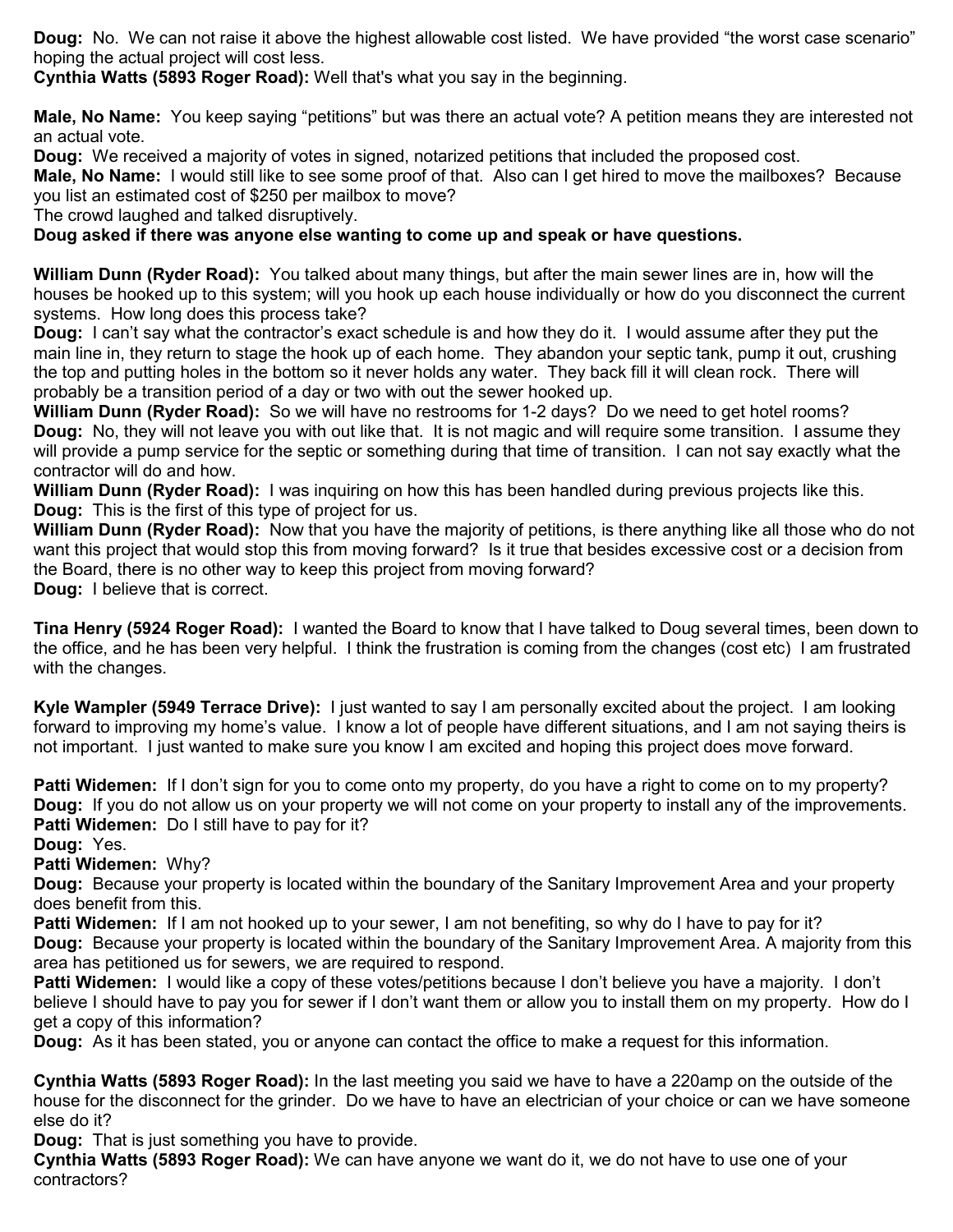**Doug:** No. We can not raise it above the highest allowable cost listed. We have provided "the worst case scenario" hoping the actual project will cost less.

**Cynthia Watts (5893 Roger Road):** Well that's what you say in the beginning.

**Male, No Name:** You keep saying "petitions" but was there an actual vote? A petition means they are interested not an actual vote.

**Doug:** We received a majority of votes in signed, notarized petitions that included the proposed cost.

**Male, No Name:** I would still like to see some proof of that. Also can I get hired to move the mailboxes? Because you list an estimated cost of \$250 per mailbox to move?

The crowd laughed and talked disruptively.

## **Doug asked if there was anyone else wanting to come up and speak or have questions.**

**William Dunn (Ryder Road):** You talked about many things, but after the main sewer lines are in, how will the houses be hooked up to this system; will you hook up each house individually or how do you disconnect the current systems. How long does this process take?

**Doug:** I can't say what the contractor's exact schedule is and how they do it. I would assume after they put the main line in, they return to stage the hook up of each home. They abandon your septic tank, pump it out, crushing the top and putting holes in the bottom so it never holds any water. They back fill it will clean rock. There will probably be a transition period of a day or two with out the sewer hooked up.

**William Dunn (Ryder Road):** So we will have no restrooms for 1-2 days? Do we need to get hotel rooms? **Doug:** No, they will not leave you with out like that. It is not magic and will require some transition. I assume they will provide a pump service for the septic or something during that time of transition. I can not say exactly what the contractor will do and how.

**William Dunn (Ryder Road):** I was inquiring on how this has been handled during previous projects like this. **Doug:** This is the first of this type of project for us.

**William Dunn (Ryder Road):** Now that you have the majority of petitions, is there anything like all those who do not want this project that would stop this from moving forward? Is it true that besides excessive cost or a decision from the Board, there is no other way to keep this project from moving forward? **Doug:** I believe that is correct.

**Tina Henry (5924 Roger Road):** I wanted the Board to know that I have talked to Doug several times, been down to the office, and he has been very helpful. I think the frustration is coming from the changes (cost etc) I am frustrated with the changes.

**Kyle Wampler (5949 Terrace Drive):** I just wanted to say I am personally excited about the project. I am looking forward to improving my home's value. I know a lot of people have different situations, and I am not saying theirs is not important. I just wanted to make sure you know I am excited and hoping this project does move forward.

**Patti Widemen:** If I don't sign for you to come onto my property, do you have a right to come on to my property? **Doug:** If you do not allow us on your property we will not come on your property to install any of the improvements. **Patti Widemen:** Do I still have to pay for it?

**Doug:** Yes.

**Patti Widemen:** Why?

**Doug:** Because your property is located within the boundary of the Sanitary Improvement Area and your property does benefit from this.

**Patti Widemen:** If I am not hooked up to your sewer, I am not benefiting, so why do I have to pay for it? **Doug:** Because your property is located within the boundary of the Sanitary Improvement Area. A majority from this area has petitioned us for sewers, we are required to respond.

**Patti Widemen:** I would like a copy of these votes/petitions because I don't believe you have a majority. I don't believe I should have to pay you for sewer if I don't want them or allow you to install them on my property. How do I get a copy of this information?

**Doug:** As it has been stated, you or anyone can contact the office to make a request for this information.

**Cynthia Watts (5893 Roger Road):** In the last meeting you said we have to have a 220amp on the outside of the house for the disconnect for the grinder. Do we have to have an electrician of your choice or can we have someone else do it?

**Doug:** That is just something you have to provide.

**Cynthia Watts (5893 Roger Road):** We can have anyone we want do it, we do not have to use one of your contractors?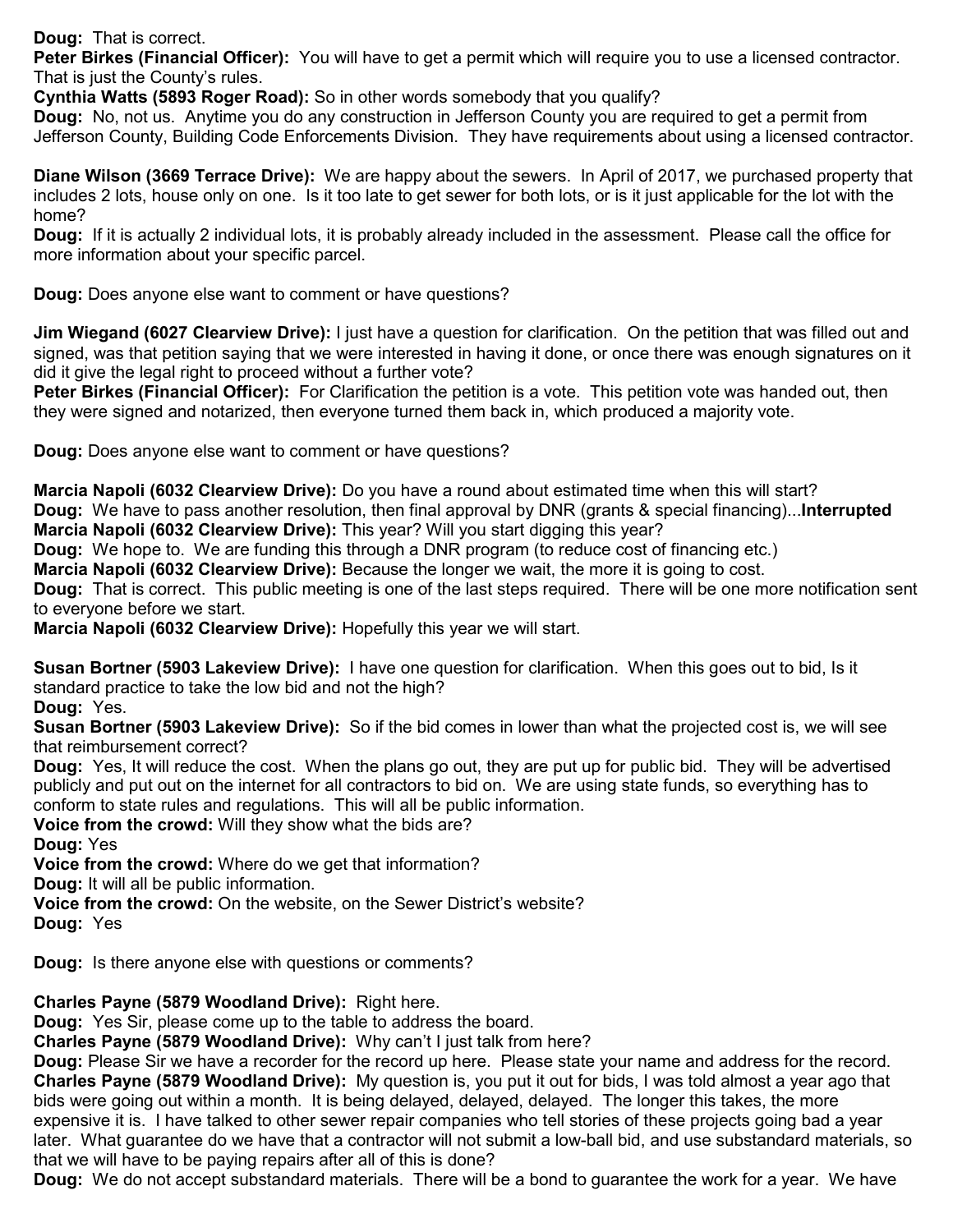**Doug:** That is correct.

**Peter Birkes (Financial Officer):** You will have to get a permit which will require you to use a licensed contractor. That is just the County's rules.

**Cynthia Watts (5893 Roger Road):** So in other words somebody that you qualify?

**Doug:** No, not us. Anytime you do any construction in Jefferson County you are required to get a permit from Jefferson County, Building Code Enforcements Division. They have requirements about using a licensed contractor.

**Diane Wilson (3669 Terrace Drive):** We are happy about the sewers. In April of 2017, we purchased property that includes 2 lots, house only on one. Is it too late to get sewer for both lots, or is it just applicable for the lot with the home?

**Doug:** If it is actually 2 individual lots, it is probably already included in the assessment. Please call the office for more information about your specific parcel.

**Doug:** Does anyone else want to comment or have questions?

**Jim Wiegand (6027 Clearview Drive):** I just have a question for clarification. On the petition that was filled out and signed, was that petition saying that we were interested in having it done, or once there was enough signatures on it did it give the legal right to proceed without a further vote?

**Peter Birkes (Financial Officer):** For Clarification the petition is a vote. This petition vote was handed out, then they were signed and notarized, then everyone turned them back in, which produced a majority vote.

**Doug:** Does anyone else want to comment or have questions?

**Marcia Napoli (6032 Clearview Drive):** Do you have a round about estimated time when this will start? **Doug:** We have to pass another resolution, then final approval by DNR (grants & special financing)...**Interrupted Marcia Napoli (6032 Clearview Drive):** This year? Will you start digging this year?

**Doug:** We hope to. We are funding this through a DNR program (to reduce cost of financing etc.)

**Marcia Napoli (6032 Clearview Drive):** Because the longer we wait, the more it is going to cost.

**Doug:** That is correct. This public meeting is one of the last steps required. There will be one more notification sent to everyone before we start.

**Marcia Napoli (6032 Clearview Drive):** Hopefully this year we will start.

**Susan Bortner (5903 Lakeview Drive):** I have one question for clarification. When this goes out to bid, Is it standard practice to take the low bid and not the high?

**Doug:** Yes.

**Susan Bortner (5903 Lakeview Drive):** So if the bid comes in lower than what the projected cost is, we will see that reimbursement correct?

**Doug:** Yes, It will reduce the cost. When the plans go out, they are put up for public bid. They will be advertised publicly and put out on the internet for all contractors to bid on. We are using state funds, so everything has to conform to state rules and regulations. This will all be public information.

**Voice from the crowd:** Will they show what the bids are?

**Doug:** Yes

**Voice from the crowd:** Where do we get that information?

**Doug:** It will all be public information.

**Voice from the crowd:** On the website, on the Sewer District's website? **Doug:** Yes

**Doug:** Is there anyone else with questions or comments?

**Charles Payne (5879 Woodland Drive):** Right here.

**Doug:** Yes Sir, please come up to the table to address the board.

**Charles Payne (5879 Woodland Drive):** Why can't I just talk from here?

**Doug:** Please Sir we have a recorder for the record up here. Please state your name and address for the record. **Charles Payne (5879 Woodland Drive):** My question is, you put it out for bids, I was told almost a year ago that bids were going out within a month. It is being delayed, delayed, delayed. The longer this takes, the more expensive it is. I have talked to other sewer repair companies who tell stories of these projects going bad a year later. What guarantee do we have that a contractor will not submit a low-ball bid, and use substandard materials, so that we will have to be paying repairs after all of this is done?

**Doug:** We do not accept substandard materials. There will be a bond to guarantee the work for a year. We have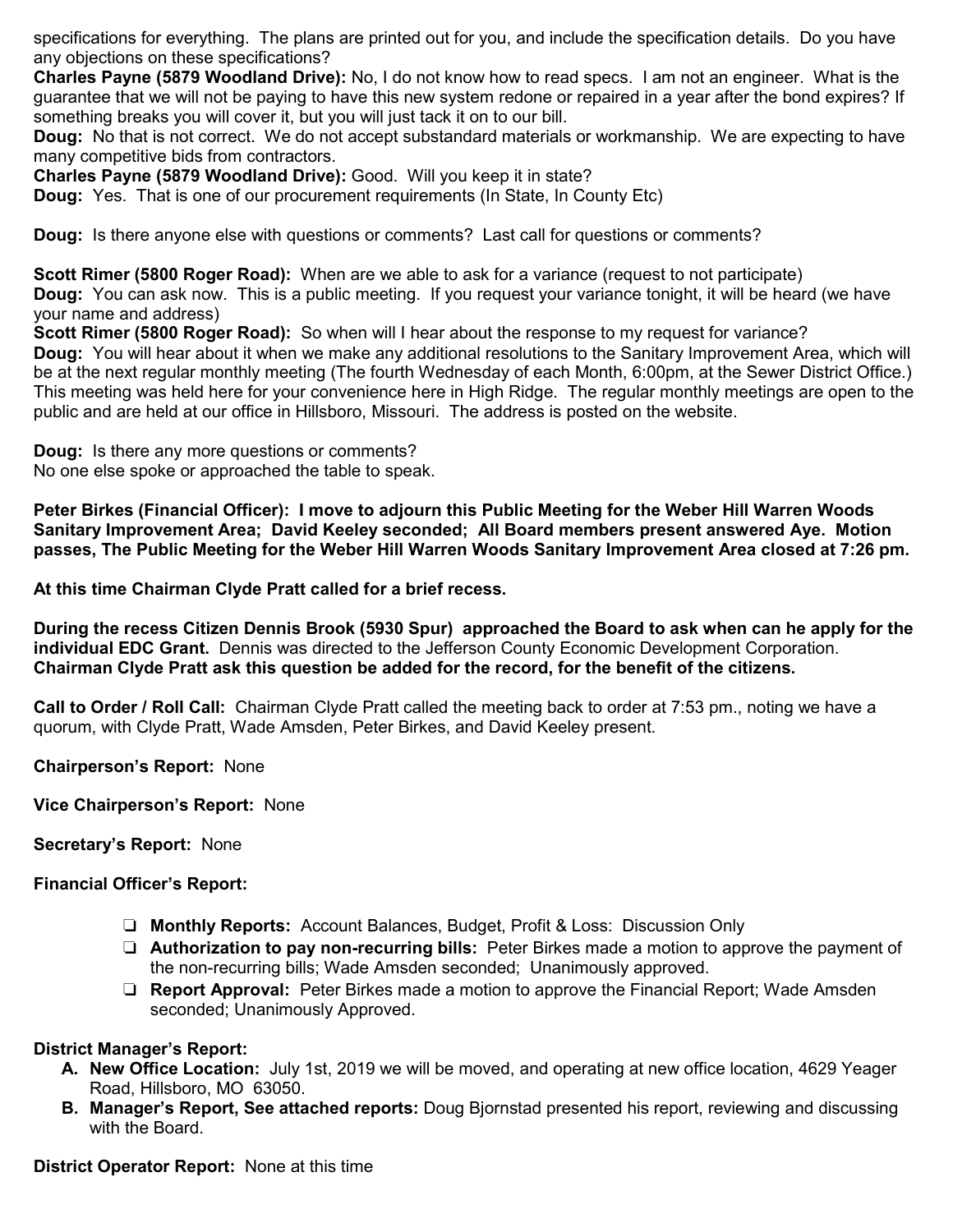specifications for everything. The plans are printed out for you, and include the specification details. Do you have any objections on these specifications?

**Charles Payne (5879 Woodland Drive):** No, I do not know how to read specs. I am not an engineer. What is the guarantee that we will not be paying to have this new system redone or repaired in a year after the bond expires? If something breaks you will cover it, but you will just tack it on to our bill.

**Doug:** No that is not correct. We do not accept substandard materials or workmanship. We are expecting to have many competitive bids from contractors.

**Charles Payne (5879 Woodland Drive):** Good. Will you keep it in state?

**Doug:** Yes. That is one of our procurement requirements (In State, In County Etc)

**Doug:** Is there anyone else with questions or comments? Last call for questions or comments?

**Scott Rimer (5800 Roger Road):** When are we able to ask for a variance (request to not participate)

**Doug:** You can ask now. This is a public meeting. If you request your variance tonight, it will be heard (we have your name and address)

**Scott Rimer (5800 Roger Road):** So when will I hear about the response to my request for variance? **Doug:** You will hear about it when we make any additional resolutions to the Sanitary Improvement Area, which will be at the next regular monthly meeting (The fourth Wednesday of each Month, 6:00pm, at the Sewer District Office.) This meeting was held here for your convenience here in High Ridge. The regular monthly meetings are open to the public and are held at our office in Hillsboro, Missouri. The address is posted on the website.

**Doug:** Is there any more questions or comments? No one else spoke or approached the table to speak.

**Peter Birkes (Financial Officer): I move to adjourn this Public Meeting for the Weber Hill Warren Woods Sanitary Improvement Area; David Keeley seconded; All Board members present answered Aye. Motion passes, The Public Meeting for the Weber Hill Warren Woods Sanitary Improvement Area closed at 7:26 pm.**

**At this time Chairman Clyde Pratt called for a brief recess.** 

**During the recess Citizen Dennis Brook (5930 Spur) approached the Board to ask when can he apply for the individual EDC Grant.** Dennis was directed to the Jefferson County Economic Development Corporation. **Chairman Clyde Pratt ask this question be added for the record, for the benefit of the citizens.** 

**Call to Order / Roll Call:** Chairman Clyde Pratt called the meeting back to order at 7:53 pm., noting we have a quorum, with Clyde Pratt, Wade Amsden, Peter Birkes, and David Keeley present.

**Chairperson's Report:** None

**Vice Chairperson's Report:** None

### **Secretary's Report:** None

### **Financial Officer's Report:**

- ❏ **Monthly Reports:** Account Balances, Budget, Profit & Loss: Discussion Only
- ❏ **Authorization to pay non-recurring bills:** Peter Birkes made a motion to approve the payment of the non-recurring bills; Wade Amsden seconded; Unanimously approved.
- ❏ **Report Approval:** Peter Birkes made a motion to approve the Financial Report; Wade Amsden seconded; Unanimously Approved.

### **District Manager's Report:**

- **A. New Office Location:** July 1st, 2019 we will be moved, and operating at new office location, 4629 Yeager Road, Hillsboro, MO 63050.
- **B. Manager's Report, See attached reports:** Doug Bjornstad presented his report, reviewing and discussing with the Board.

### **District Operator Report:** None at this time